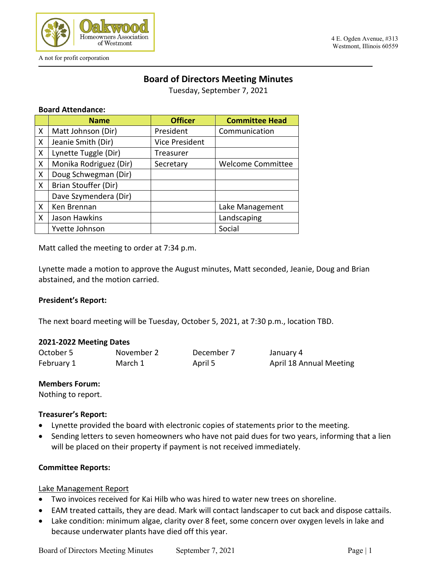

# **Board of Directors Meeting Minutes**

Tuesday, September 7, 2021

### **Board Attendance:**

|   | <b>Name</b>            | <b>Officer</b>        | <b>Committee Head</b>    |
|---|------------------------|-----------------------|--------------------------|
| X | Matt Johnson (Dir)     | President             | Communication            |
| X | Jeanie Smith (Dir)     | <b>Vice President</b> |                          |
| X | Lynette Tuggle (Dir)   | Treasurer             |                          |
| X | Monika Rodriguez (Dir) | Secretary             | <b>Welcome Committee</b> |
| X | Doug Schwegman (Dir)   |                       |                          |
| X | Brian Stouffer (Dir)   |                       |                          |
|   | Dave Szymendera (Dir)  |                       |                          |
| X | Ken Brennan            |                       | Lake Management          |
| X | Jason Hawkins          |                       | Landscaping              |
|   | Yvette Johnson         |                       | Social                   |

Matt called the meeting to order at 7:34 p.m.

Lynette made a motion to approve the August minutes, Matt seconded, Jeanie, Doug and Brian abstained, and the motion carried.

### **President's Report:**

The next board meeting will be Tuesday, October 5, 2021, at 7:30 p.m., location TBD.

### **2021-2022 Meeting Dates**

| October 5  | November 2 | December 7 | January 4               |
|------------|------------|------------|-------------------------|
| February 1 | March 1    | April 5    | April 18 Annual Meeting |

#### **Members Forum:**

Nothing to report.

### **Treasurer's Report:**

- Lynette provided the board with electronic copies of statements prior to the meeting.
- Sending letters to seven homeowners who have not paid dues for two years, informing that a lien will be placed on their property if payment is not received immediately.

### **Committee Reports:**

### Lake Management Report

- Two invoices received for Kai Hilb who was hired to water new trees on shoreline.
- EAM treated cattails, they are dead. Mark will contact landscaper to cut back and dispose cattails.
- Lake condition: minimum algae, clarity over 8 feet, some concern over oxygen levels in lake and because underwater plants have died off this year.